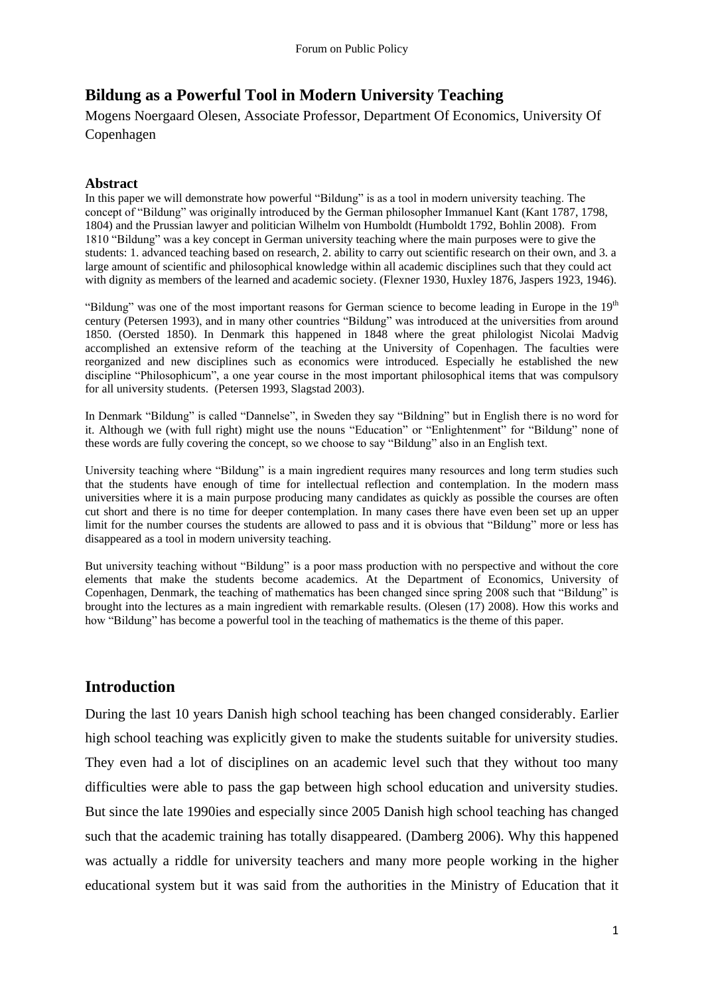# **Bildung as a Powerful Tool in Modern University Teaching**

Mogens Noergaard Olesen, Associate Professor, Department Of Economics, University Of Copenhagen

### **Abstract**

In this paper we will demonstrate how powerful "Bildung" is as a tool in modern university teaching. The concept of "Bildung" was originally introduced by the German philosopher Immanuel Kant (Kant 1787, 1798, 1804) and the Prussian lawyer and politician Wilhelm von Humboldt (Humboldt 1792, Bohlin 2008). From 1810 "Bildung" was a key concept in German university teaching where the main purposes were to give the students: 1. advanced teaching based on research, 2. ability to carry out scientific research on their own, and 3. a large amount of scientific and philosophical knowledge within all academic disciplines such that they could act with dignity as members of the learned and academic society. (Flexner 1930, Huxley 1876, Jaspers 1923, 1946).

"Bildung" was one of the most important reasons for German science to become leading in Europe in the  $19<sup>th</sup>$ century (Petersen 1993), and in many other countries "Bildung" was introduced at the universities from around 1850. (Oersted 1850). In Denmark this happened in 1848 where the great philologist Nicolai Madvig accomplished an extensive reform of the teaching at the University of Copenhagen. The faculties were reorganized and new disciplines such as economics were introduced. Especially he established the new discipline "Philosophicum", a one year course in the most important philosophical items that was compulsory for all university students. (Petersen 1993, Slagstad 2003).

In Denmark "Bildung" is called "Dannelse", in Sweden they say "Bildning" but in English there is no word for it. Although we (with full right) might use the nouns "Education" or "Enlightenment" for "Bildung" none of these words are fully covering the concept, so we choose to say "Bildung" also in an English text.

University teaching where "Bildung" is a main ingredient requires many resources and long term studies such that the students have enough of time for intellectual reflection and contemplation. In the modern mass universities where it is a main purpose producing many candidates as quickly as possible the courses are often cut short and there is no time for deeper contemplation. In many cases there have even been set up an upper limit for the number courses the students are allowed to pass and it is obvious that "Bildung" more or less has disappeared as a tool in modern university teaching.

But university teaching without "Bildung" is a poor mass production with no perspective and without the core elements that make the students become academics. At the Department of Economics, University of Copenhagen, Denmark, the teaching of mathematics has been changed since spring 2008 such that "Bildung" is brought into the lectures as a main ingredient with remarkable results. (Olesen (17) 2008). How this works and how "Bildung" has become a powerful tool in the teaching of mathematics is the theme of this paper.

## **Introduction**

During the last 10 years Danish high school teaching has been changed considerably. Earlier high school teaching was explicitly given to make the students suitable for university studies. They even had a lot of disciplines on an academic level such that they without too many difficulties were able to pass the gap between high school education and university studies. But since the late 1990ies and especially since 2005 Danish high school teaching has changed such that the academic training has totally disappeared. (Damberg 2006). Why this happened was actually a riddle for university teachers and many more people working in the higher educational system but it was said from the authorities in the Ministry of Education that it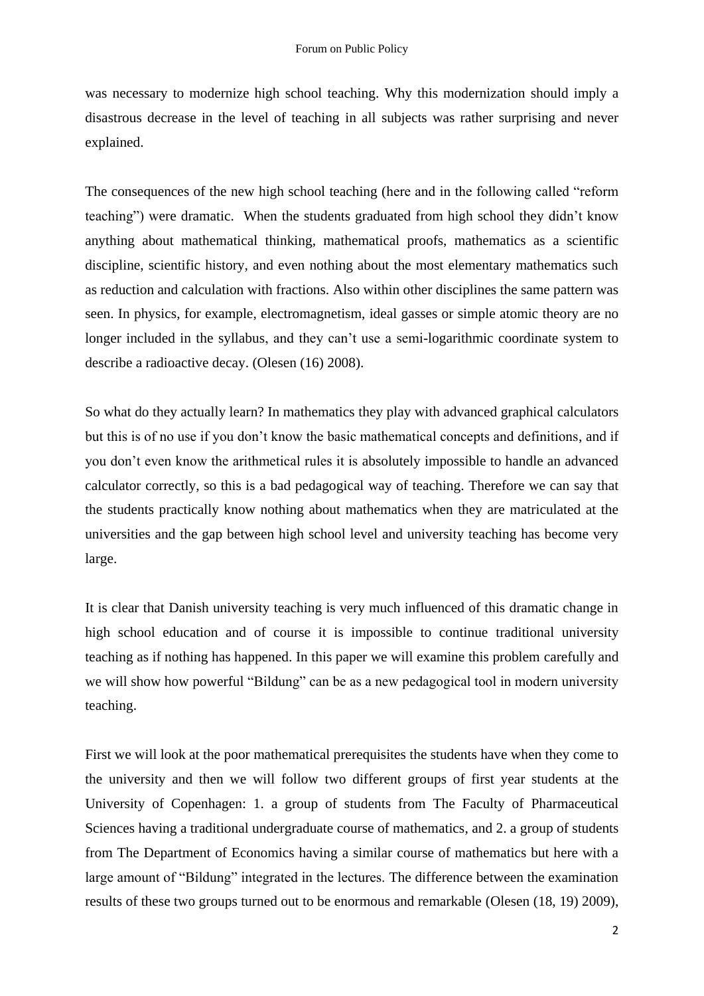was necessary to modernize high school teaching. Why this modernization should imply a disastrous decrease in the level of teaching in all subjects was rather surprising and never explained.

The consequences of the new high school teaching (here and in the following called "reform" teaching‖) were dramatic. When the students graduated from high school they didn't know anything about mathematical thinking, mathematical proofs, mathematics as a scientific discipline, scientific history, and even nothing about the most elementary mathematics such as reduction and calculation with fractions. Also within other disciplines the same pattern was seen. In physics, for example, electromagnetism, ideal gasses or simple atomic theory are no longer included in the syllabus, and they can't use a semi-logarithmic coordinate system to describe a radioactive decay. (Olesen (16) 2008).

So what do they actually learn? In mathematics they play with advanced graphical calculators but this is of no use if you don't know the basic mathematical concepts and definitions, and if you don't even know the arithmetical rules it is absolutely impossible to handle an advanced calculator correctly, so this is a bad pedagogical way of teaching. Therefore we can say that the students practically know nothing about mathematics when they are matriculated at the universities and the gap between high school level and university teaching has become very large.

It is clear that Danish university teaching is very much influenced of this dramatic change in high school education and of course it is impossible to continue traditional university teaching as if nothing has happened. In this paper we will examine this problem carefully and we will show how powerful "Bildung" can be as a new pedagogical tool in modern university teaching.

First we will look at the poor mathematical prerequisites the students have when they come to the university and then we will follow two different groups of first year students at the University of Copenhagen: 1. a group of students from The Faculty of Pharmaceutical Sciences having a traditional undergraduate course of mathematics, and 2. a group of students from The Department of Economics having a similar course of mathematics but here with a large amount of "Bildung" integrated in the lectures. The difference between the examination results of these two groups turned out to be enormous and remarkable (Olesen (18, 19) 2009),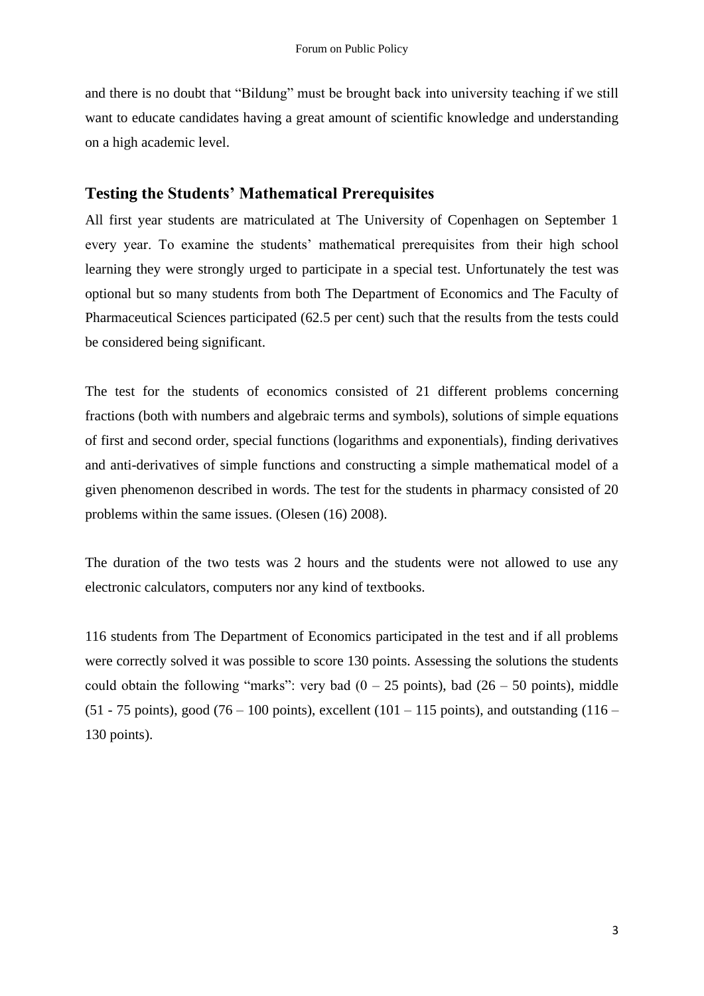and there is no doubt that "Bildung" must be brought back into university teaching if we still want to educate candidates having a great amount of scientific knowledge and understanding on a high academic level.

### **Testing the Students' Mathematical Prerequisites**

All first year students are matriculated at The University of Copenhagen on September 1 every year. To examine the students' mathematical prerequisites from their high school learning they were strongly urged to participate in a special test. Unfortunately the test was optional but so many students from both The Department of Economics and The Faculty of Pharmaceutical Sciences participated (62.5 per cent) such that the results from the tests could be considered being significant.

The test for the students of economics consisted of 21 different problems concerning fractions (both with numbers and algebraic terms and symbols), solutions of simple equations of first and second order, special functions (logarithms and exponentials), finding derivatives and anti-derivatives of simple functions and constructing a simple mathematical model of a given phenomenon described in words. The test for the students in pharmacy consisted of 20 problems within the same issues. (Olesen (16) 2008).

The duration of the two tests was 2 hours and the students were not allowed to use any electronic calculators, computers nor any kind of textbooks.

116 students from The Department of Economics participated in the test and if all problems were correctly solved it was possible to score 130 points. Assessing the solutions the students could obtain the following "marks": very bad  $(0 - 25 \text{ points})$ , bad  $(26 - 50 \text{ points})$ , middle  $(51 - 75 \text{ points})$ , good  $(76 - 100 \text{ points})$ , excellent  $(101 - 115 \text{ points})$ , and outstanding  $(116 - 115 \text{ points})$ 130 points).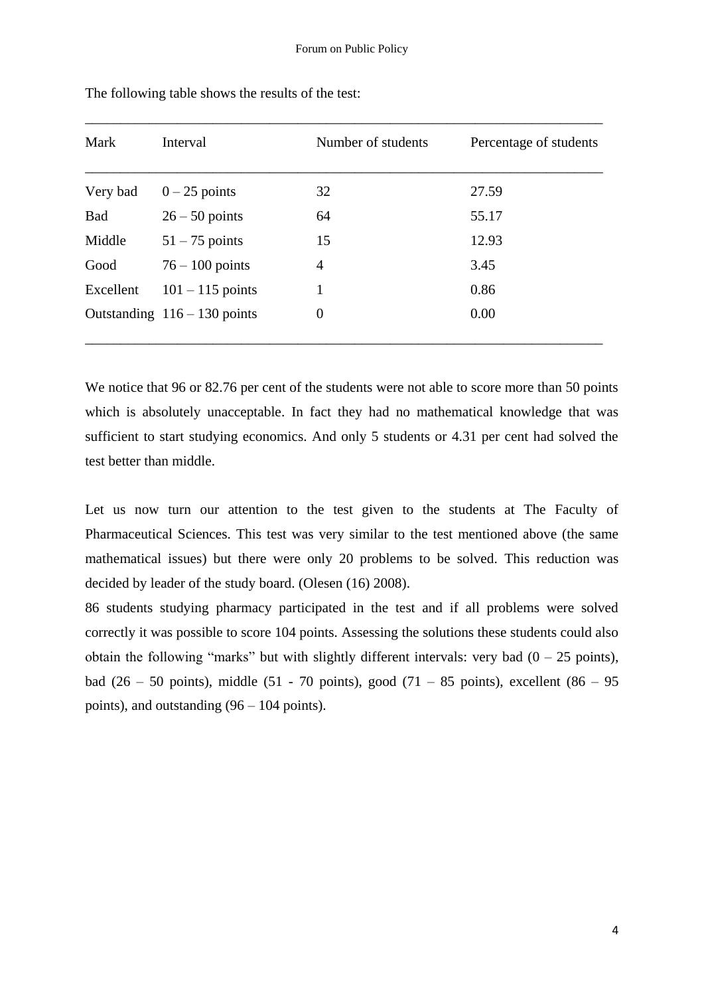\_\_\_\_\_\_\_\_\_\_\_\_\_\_\_\_\_\_\_\_\_\_\_\_\_\_\_\_\_\_\_\_\_\_\_\_\_\_\_\_\_\_\_\_\_\_\_\_\_\_\_\_\_\_\_\_\_\_\_\_\_\_\_\_\_\_\_\_\_\_\_\_\_

| Mark       | Interval                       | Number of students | Percentage of students |
|------------|--------------------------------|--------------------|------------------------|
| Very bad   | $0-25$ points                  | 32                 | 27.59                  |
| <b>Bad</b> | $26 - 50$ points               | 64                 | 55.17                  |
| Middle     | $51 - 75$ points               | 15                 | 12.93                  |
| Good       | $76 - 100$ points              | 4                  | 3.45                   |
| Excellent  | $101 - 115$ points             |                    | 0.86                   |
|            | Outstanding $116 - 130$ points | $\overline{0}$     | 0.00                   |

The following table shows the results of the test:

We notice that 96 or 82.76 per cent of the students were not able to score more than 50 points which is absolutely unacceptable. In fact they had no mathematical knowledge that was sufficient to start studying economics. And only 5 students or 4.31 per cent had solved the test better than middle.

Let us now turn our attention to the test given to the students at The Faculty of Pharmaceutical Sciences. This test was very similar to the test mentioned above (the same mathematical issues) but there were only 20 problems to be solved. This reduction was decided by leader of the study board. (Olesen (16) 2008).

86 students studying pharmacy participated in the test and if all problems were solved correctly it was possible to score 104 points. Assessing the solutions these students could also obtain the following "marks" but with slightly different intervals: very bad  $(0 - 25 \text{ points})$ , bad (26 – 50 points), middle (51 - 70 points), good (71 – 85 points), excellent (86 – 95 points), and outstanding (96 – 104 points).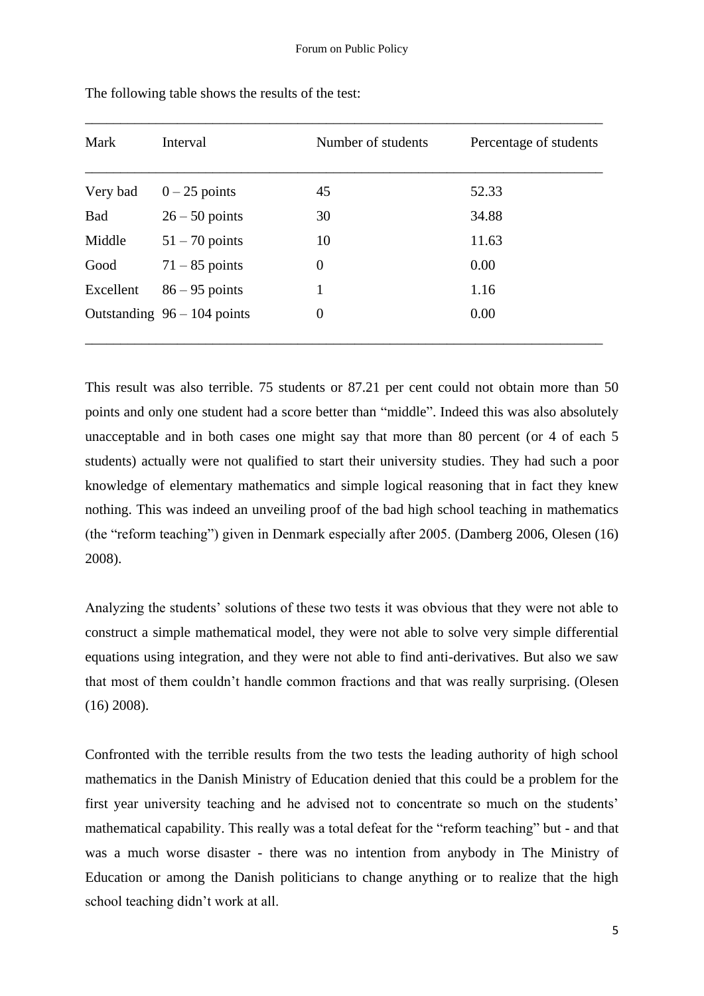\_\_\_\_\_\_\_\_\_\_\_\_\_\_\_\_\_\_\_\_\_\_\_\_\_\_\_\_\_\_\_\_\_\_\_\_\_\_\_\_\_\_\_\_\_\_\_\_\_\_\_\_\_\_\_\_\_\_\_\_\_\_\_\_\_\_\_\_\_\_\_\_\_

| Mark       | Interval                      | Number of students | Percentage of students |
|------------|-------------------------------|--------------------|------------------------|
| Very bad   | $0-25$ points                 | 45                 | 52.33                  |
| <b>Bad</b> | $26 - 50$ points              | 30                 | 34.88                  |
| Middle     | $51 - 70$ points              | 10                 | 11.63                  |
| Good       | $71 - 85$ points              | $\theta$           | 0.00                   |
| Excellent  | $86 - 95$ points              | 1                  | 1.16                   |
|            | Outstanding $96 - 104$ points | $\theta$           | 0.00                   |

The following table shows the results of the test:

This result was also terrible. 75 students or 87.21 per cent could not obtain more than 50 points and only one student had a score better than "middle". Indeed this was also absolutely unacceptable and in both cases one might say that more than 80 percent (or 4 of each 5 students) actually were not qualified to start their university studies. They had such a poor knowledge of elementary mathematics and simple logical reasoning that in fact they knew nothing. This was indeed an unveiling proof of the bad high school teaching in mathematics (the "reform teaching") given in Denmark especially after 2005. (Damberg 2006, Olesen (16) 2008).

Analyzing the students' solutions of these two tests it was obvious that they were not able to construct a simple mathematical model, they were not able to solve very simple differential equations using integration, and they were not able to find anti-derivatives. But also we saw that most of them couldn't handle common fractions and that was really surprising. (Olesen (16) 2008).

Confronted with the terrible results from the two tests the leading authority of high school mathematics in the Danish Ministry of Education denied that this could be a problem for the first year university teaching and he advised not to concentrate so much on the students' mathematical capability. This really was a total defeat for the "reform teaching" but - and that was a much worse disaster - there was no intention from anybody in The Ministry of Education or among the Danish politicians to change anything or to realize that the high school teaching didn't work at all.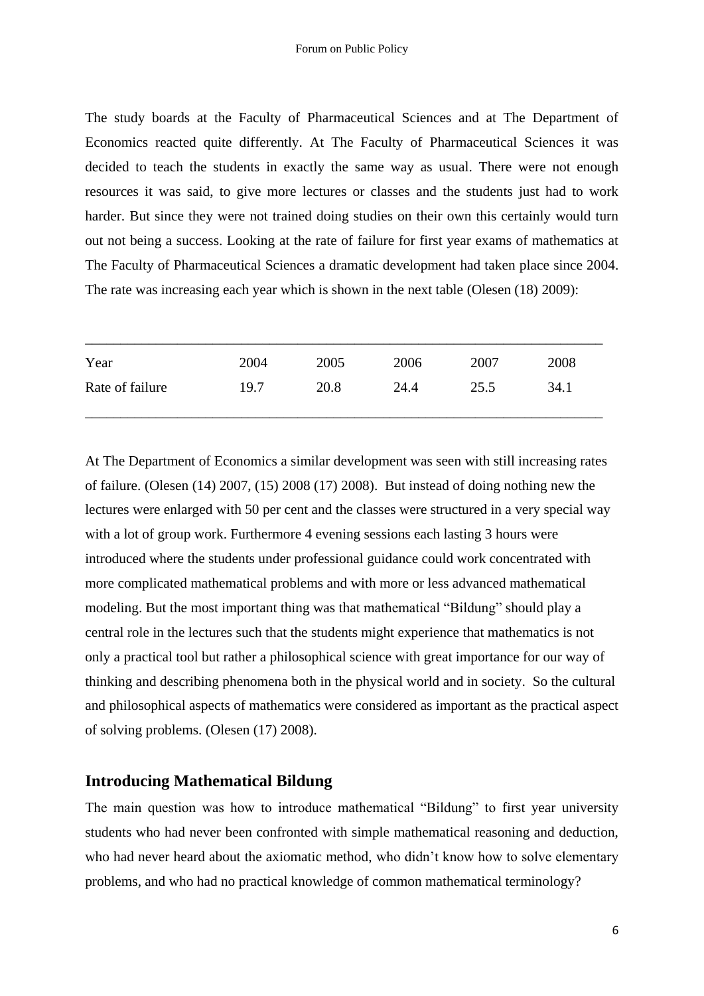The study boards at the Faculty of Pharmaceutical Sciences and at The Department of Economics reacted quite differently. At The Faculty of Pharmaceutical Sciences it was decided to teach the students in exactly the same way as usual. There were not enough resources it was said, to give more lectures or classes and the students just had to work harder. But since they were not trained doing studies on their own this certainly would turn out not being a success. Looking at the rate of failure for first year exams of mathematics at The Faculty of Pharmaceutical Sciences a dramatic development had taken place since 2004. The rate was increasing each year which is shown in the next table (Olesen (18) 2009):

| Year            | 2004 | 2005 | 2006 | 2007 | 2008 |
|-----------------|------|------|------|------|------|
| Rate of failure | 19.7 | 20.8 | 24.4 | 25.5 | 34.1 |

At The Department of Economics a similar development was seen with still increasing rates of failure. (Olesen (14) 2007, (15) 2008 (17) 2008). But instead of doing nothing new the lectures were enlarged with 50 per cent and the classes were structured in a very special way with a lot of group work. Furthermore 4 evening sessions each lasting 3 hours were introduced where the students under professional guidance could work concentrated with more complicated mathematical problems and with more or less advanced mathematical modeling. But the most important thing was that mathematical "Bildung" should play a central role in the lectures such that the students might experience that mathematics is not only a practical tool but rather a philosophical science with great importance for our way of thinking and describing phenomena both in the physical world and in society. So the cultural and philosophical aspects of mathematics were considered as important as the practical aspect of solving problems. (Olesen (17) 2008).

### **Introducing Mathematical Bildung**

The main question was how to introduce mathematical "Bildung" to first year university students who had never been confronted with simple mathematical reasoning and deduction, who had never heard about the axiomatic method, who didn't know how to solve elementary problems, and who had no practical knowledge of common mathematical terminology?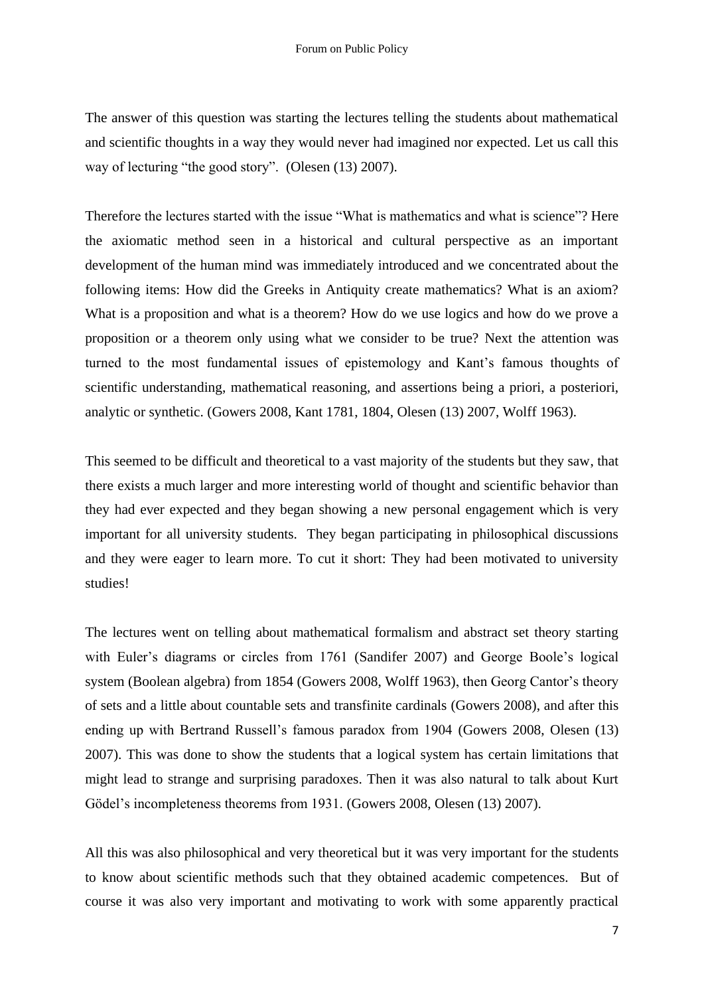The answer of this question was starting the lectures telling the students about mathematical and scientific thoughts in a way they would never had imagined nor expected. Let us call this way of lecturing "the good story". (Olesen  $(13)$  2007).

Therefore the lectures started with the issue "What is mathematics and what is science"? Here the axiomatic method seen in a historical and cultural perspective as an important development of the human mind was immediately introduced and we concentrated about the following items: How did the Greeks in Antiquity create mathematics? What is an axiom? What is a proposition and what is a theorem? How do we use logics and how do we prove a proposition or a theorem only using what we consider to be true? Next the attention was turned to the most fundamental issues of epistemology and Kant's famous thoughts of scientific understanding, mathematical reasoning, and assertions being a priori, a posteriori, analytic or synthetic. (Gowers 2008, Kant 1781, 1804, Olesen (13) 2007, Wolff 1963).

This seemed to be difficult and theoretical to a vast majority of the students but they saw, that there exists a much larger and more interesting world of thought and scientific behavior than they had ever expected and they began showing a new personal engagement which is very important for all university students. They began participating in philosophical discussions and they were eager to learn more. To cut it short: They had been motivated to university studies!

The lectures went on telling about mathematical formalism and abstract set theory starting with Euler's diagrams or circles from 1761 (Sandifer 2007) and George Boole's logical system (Boolean algebra) from 1854 (Gowers 2008, Wolff 1963), then Georg Cantor's theory of sets and a little about countable sets and transfinite cardinals (Gowers 2008), and after this ending up with Bertrand Russell's famous paradox from 1904 (Gowers 2008, Olesen (13) 2007). This was done to show the students that a logical system has certain limitations that might lead to strange and surprising paradoxes. Then it was also natural to talk about Kurt Gödel's incompleteness theorems from 1931. (Gowers 2008, Olesen (13) 2007).

All this was also philosophical and very theoretical but it was very important for the students to know about scientific methods such that they obtained academic competences. But of course it was also very important and motivating to work with some apparently practical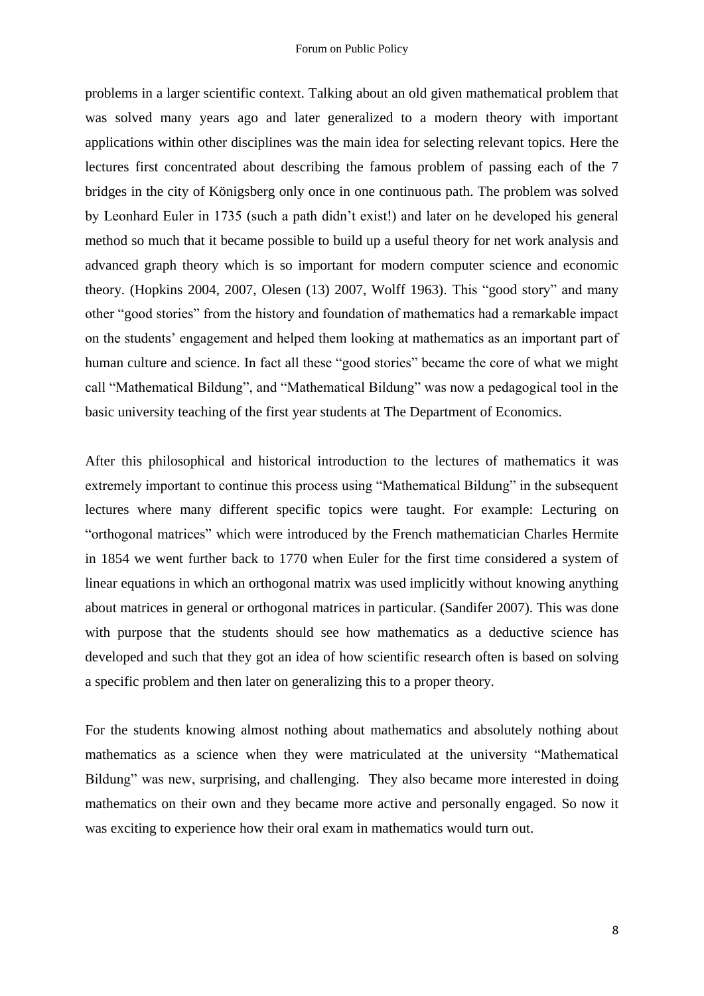problems in a larger scientific context. Talking about an old given mathematical problem that was solved many years ago and later generalized to a modern theory with important applications within other disciplines was the main idea for selecting relevant topics. Here the lectures first concentrated about describing the famous problem of passing each of the 7 bridges in the city of Königsberg only once in one continuous path. The problem was solved by Leonhard Euler in 1735 (such a path didn't exist!) and later on he developed his general method so much that it became possible to build up a useful theory for net work analysis and advanced graph theory which is so important for modern computer science and economic theory. (Hopkins 2004, 2007, Olesen  $(13)$  2007, Wolff 1963). This "good story" and many other "good stories" from the history and foundation of mathematics had a remarkable impact on the students' engagement and helped them looking at mathematics as an important part of human culture and science. In fact all these "good stories" became the core of what we might call "Mathematical Bildung", and "Mathematical Bildung" was now a pedagogical tool in the basic university teaching of the first year students at The Department of Economics.

After this philosophical and historical introduction to the lectures of mathematics it was extremely important to continue this process using "Mathematical Bildung" in the subsequent lectures where many different specific topics were taught. For example: Lecturing on "orthogonal matrices" which were introduced by the French mathematician Charles Hermite in 1854 we went further back to 1770 when Euler for the first time considered a system of linear equations in which an orthogonal matrix was used implicitly without knowing anything about matrices in general or orthogonal matrices in particular. (Sandifer 2007). This was done with purpose that the students should see how mathematics as a deductive science has developed and such that they got an idea of how scientific research often is based on solving a specific problem and then later on generalizing this to a proper theory.

For the students knowing almost nothing about mathematics and absolutely nothing about mathematics as a science when they were matriculated at the university "Mathematical Bildung" was new, surprising, and challenging. They also became more interested in doing mathematics on their own and they became more active and personally engaged. So now it was exciting to experience how their oral exam in mathematics would turn out.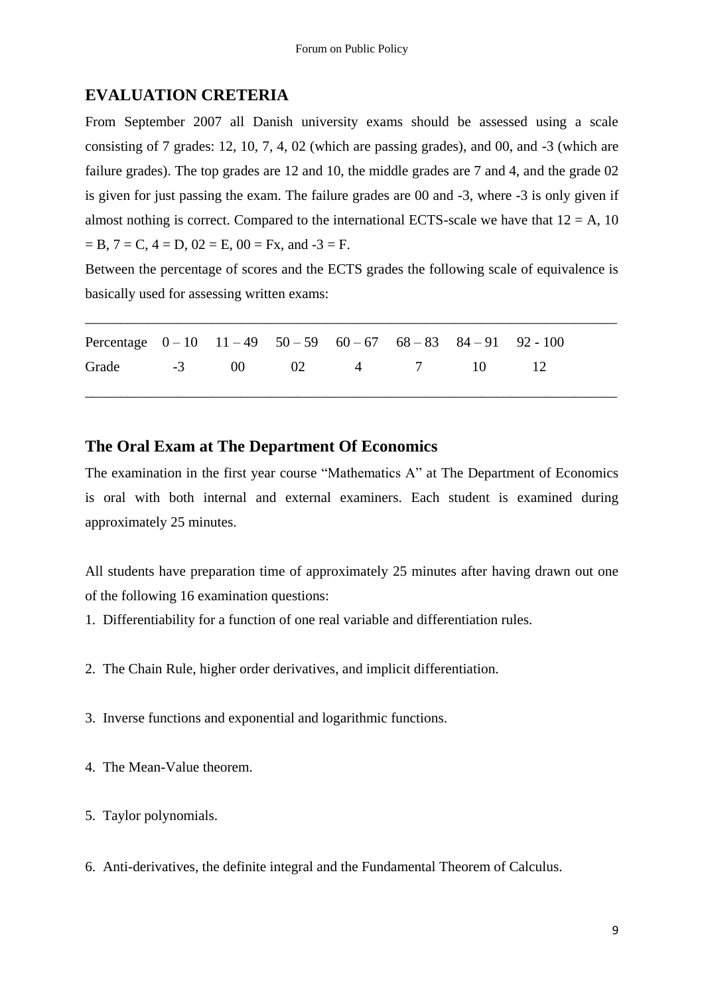## **EVALUATION CRETERIA**

From September 2007 all Danish university exams should be assessed using a scale consisting of 7 grades: 12, 10, 7, 4, 02 (which are passing grades), and 00, and -3 (which are failure grades). The top grades are 12 and 10, the middle grades are 7 and 4, and the grade 02 is given for just passing the exam. The failure grades are 00 and -3, where -3 is only given if almost nothing is correct. Compared to the international ECTS-scale we have that  $12 = A$ , 10  $=$  B,  $7 = C$ ,  $4 = D$ ,  $02 = E$ ,  $00 = Fx$ , and  $-3 = F$ .

Between the percentage of scores and the ECTS grades the following scale of equivalence is basically used for assessing written exams:

\_\_\_\_\_\_\_\_\_\_\_\_\_\_\_\_\_\_\_\_\_\_\_\_\_\_\_\_\_\_\_\_\_\_\_\_\_\_\_\_\_\_\_\_\_\_\_\_\_\_\_\_\_\_\_\_\_\_\_\_\_\_\_\_\_\_\_\_\_\_\_\_\_\_\_

\_\_\_\_\_\_\_\_\_\_\_\_\_\_\_\_\_\_\_\_\_\_\_\_\_\_\_\_\_\_\_\_\_\_\_\_\_\_\_\_\_\_\_\_\_\_\_\_\_\_\_\_\_\_\_\_\_\_\_\_\_\_\_\_\_\_\_\_\_\_\_\_\_\_\_

| Percentage $0-10$ $11-49$ $50-59$ $60-67$ $68-83$ $84-91$ $92-100$ |  |  |  |  |
|--------------------------------------------------------------------|--|--|--|--|
| Grade -3 00 02 4 7 10 12                                           |  |  |  |  |

### **The Oral Exam at The Department Of Economics**

The examination in the first year course "Mathematics A" at The Department of Economics is oral with both internal and external examiners. Each student is examined during approximately 25 minutes.

All students have preparation time of approximately 25 minutes after having drawn out one of the following 16 examination questions:

- 1. Differentiability for a function of one real variable and differentiation rules.
- 2. The Chain Rule, higher order derivatives, and implicit differentiation.
- 3. Inverse functions and exponential and logarithmic functions.
- 4. The Mean-Value theorem.
- 5. Taylor polynomials.
- 6. Anti-derivatives, the definite integral and the Fundamental Theorem of Calculus.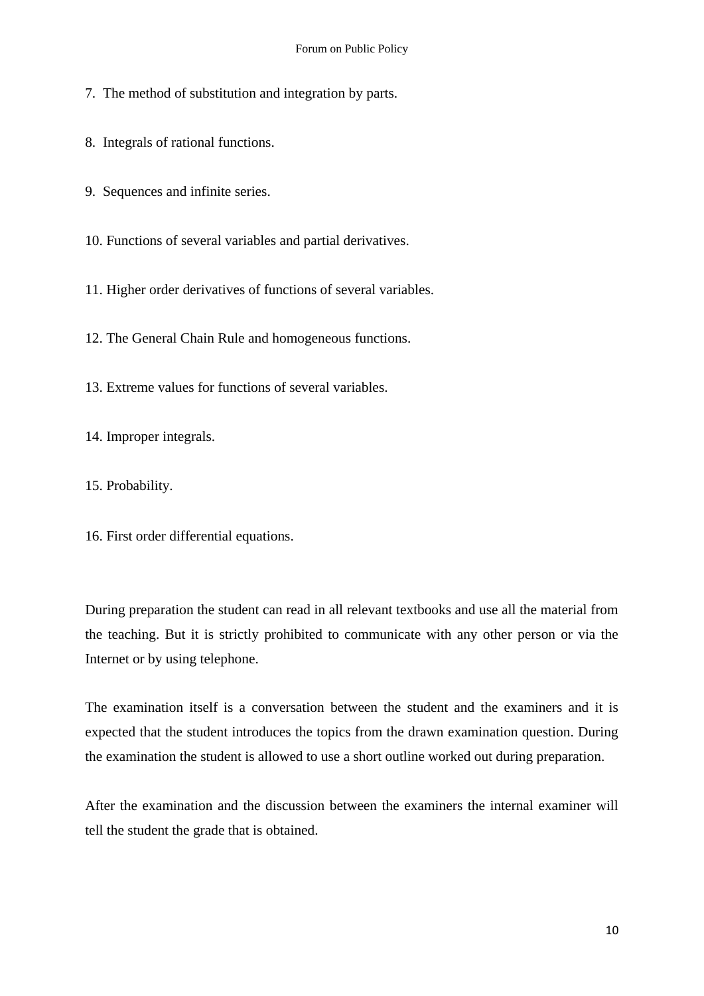7. The method of substitution and integration by parts.

8. Integrals of rational functions.

9. Sequences and infinite series.

10. Functions of several variables and partial derivatives.

11. Higher order derivatives of functions of several variables.

12. The General Chain Rule and homogeneous functions.

13. Extreme values for functions of several variables.

14. Improper integrals.

15. Probability.

16. First order differential equations.

During preparation the student can read in all relevant textbooks and use all the material from the teaching. But it is strictly prohibited to communicate with any other person or via the Internet or by using telephone.

The examination itself is a conversation between the student and the examiners and it is expected that the student introduces the topics from the drawn examination question. During the examination the student is allowed to use a short outline worked out during preparation.

After the examination and the discussion between the examiners the internal examiner will tell the student the grade that is obtained.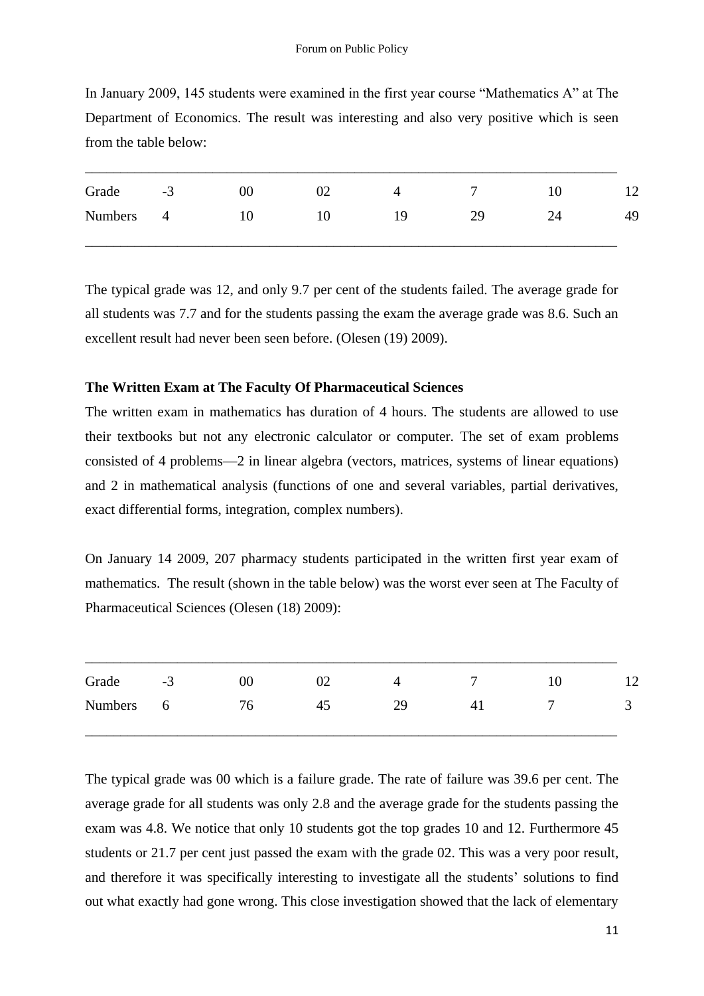| In January 2009, 145 students were examined in the first year course "Mathematics A" at The |
|---------------------------------------------------------------------------------------------|
| Department of Economics. The result was interesting and also very positive which is seen    |
| from the table below:                                                                       |

| Grade          | $-3$ | $00\,$ | 02 |    |    | 10 | 1 <sub>2</sub> |
|----------------|------|--------|----|----|----|----|----------------|
| <b>Numbers</b> | 4    | 10     | l0 | 19 | 29 | 24 | 49             |
|                |      |        |    |    |    |    |                |

The typical grade was 12, and only 9.7 per cent of the students failed. The average grade for all students was 7.7 and for the students passing the exam the average grade was 8.6. Such an excellent result had never been seen before. (Olesen (19) 2009).

#### **The Written Exam at The Faculty Of Pharmaceutical Sciences**

The written exam in mathematics has duration of 4 hours. The students are allowed to use their textbooks but not any electronic calculator or computer. The set of exam problems consisted of 4 problems—2 in linear algebra (vectors, matrices, systems of linear equations) and 2 in mathematical analysis (functions of one and several variables, partial derivatives, exact differential forms, integration, complex numbers).

On January 14 2009, 207 pharmacy students participated in the written first year exam of mathematics. The result (shown in the table below) was the worst ever seen at The Faculty of Pharmaceutical Sciences (Olesen (18) 2009):

| Grade          | $-3$     | 00 | 02 | Æ  | −  | $\sqrt{ }$<br>⊥∠ |
|----------------|----------|----|----|----|----|------------------|
| <b>Numbers</b> | $\sigma$ | 76 | 45 | 29 | 41 | ັ                |
|                |          |    |    |    |    |                  |

The typical grade was 00 which is a failure grade. The rate of failure was 39.6 per cent. The average grade for all students was only 2.8 and the average grade for the students passing the exam was 4.8. We notice that only 10 students got the top grades 10 and 12. Furthermore 45 students or 21.7 per cent just passed the exam with the grade 02. This was a very poor result, and therefore it was specifically interesting to investigate all the students' solutions to find out what exactly had gone wrong. This close investigation showed that the lack of elementary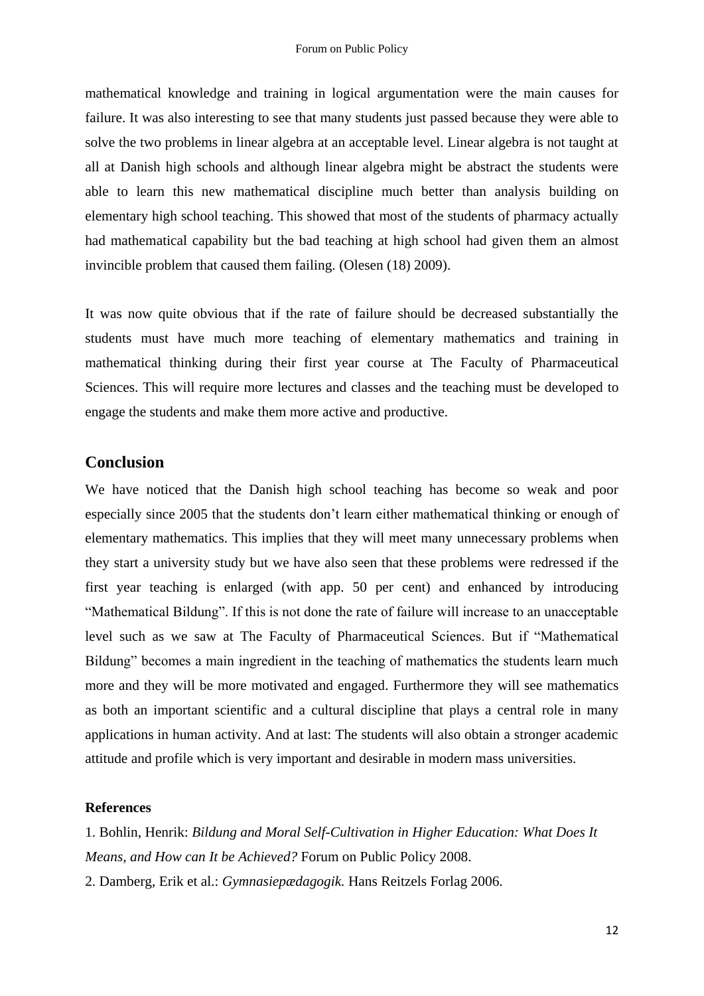mathematical knowledge and training in logical argumentation were the main causes for failure. It was also interesting to see that many students just passed because they were able to solve the two problems in linear algebra at an acceptable level. Linear algebra is not taught at all at Danish high schools and although linear algebra might be abstract the students were able to learn this new mathematical discipline much better than analysis building on elementary high school teaching. This showed that most of the students of pharmacy actually had mathematical capability but the bad teaching at high school had given them an almost invincible problem that caused them failing. (Olesen (18) 2009).

It was now quite obvious that if the rate of failure should be decreased substantially the students must have much more teaching of elementary mathematics and training in mathematical thinking during their first year course at The Faculty of Pharmaceutical Sciences. This will require more lectures and classes and the teaching must be developed to engage the students and make them more active and productive.

### **Conclusion**

We have noticed that the Danish high school teaching has become so weak and poor especially since 2005 that the students don't learn either mathematical thinking or enough of elementary mathematics. This implies that they will meet many unnecessary problems when they start a university study but we have also seen that these problems were redressed if the first year teaching is enlarged (with app. 50 per cent) and enhanced by introducing "Mathematical Bildung". If this is not done the rate of failure will increase to an unacceptable level such as we saw at The Faculty of Pharmaceutical Sciences. But if "Mathematical Bildung" becomes a main ingredient in the teaching of mathematics the students learn much more and they will be more motivated and engaged. Furthermore they will see mathematics as both an important scientific and a cultural discipline that plays a central role in many applications in human activity. And at last: The students will also obtain a stronger academic attitude and profile which is very important and desirable in modern mass universities.

#### **References**

1. Bohlin, Henrik: *Bildung and Moral Self-Cultivation in Higher Education: What Does It Means, and How can It be Achieved?* Forum on Public Policy 2008.

2. Damberg, Erik et al.: *Gymnasiepædagogik.* Hans Reitzels Forlag 2006.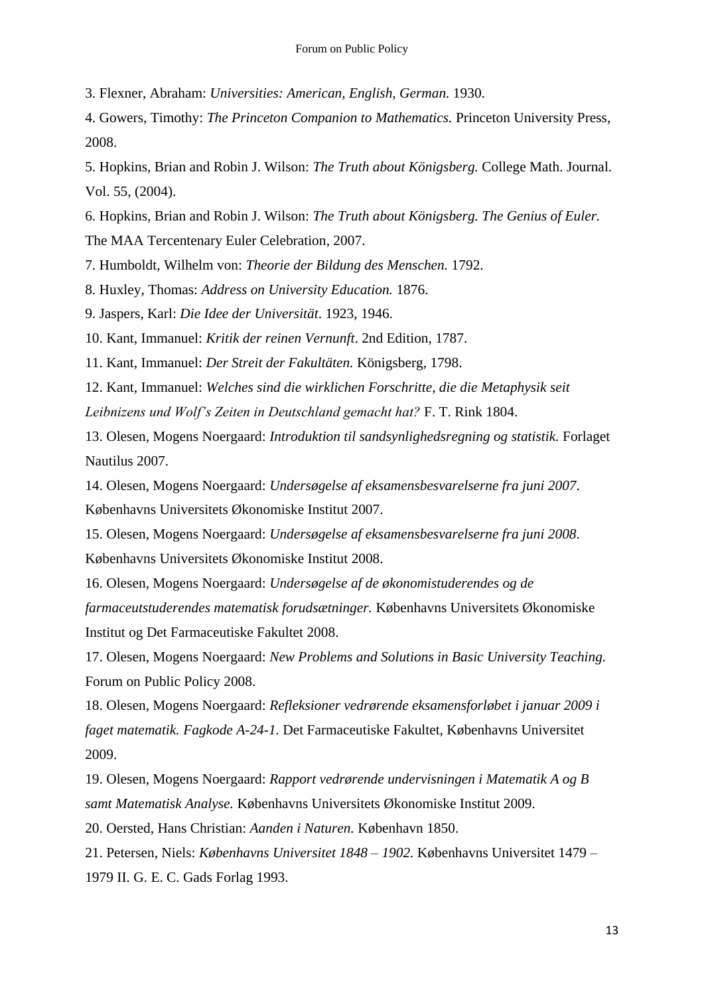3. Flexner, Abraham: *Universities: American, English, German.* 1930.

4. Gowers, Timothy: *The Princeton Companion to Mathematics.* Princeton University Press, 2008.

5. Hopkins, Brian and Robin J. Wilson: *The Truth about Königsberg.* College Math. Journal. Vol. 55, (2004).

6. Hopkins, Brian and Robin J. Wilson: *The Truth about Königsberg. The Genius of Euler.* The MAA Tercentenary Euler Celebration, 2007.

7. Humboldt, Wilhelm von: *Theorie der Bildung des Menschen.* 1792.

8. Huxley, Thomas: *Address on University Education.* 1876.

9. Jaspers, Karl: *Die Idee der Universität*. 1923, 1946.

10. Kant, Immanuel: *Kritik der reinen Vernunft*. 2nd Edition, 1787.

11. Kant, Immanuel: *Der Streit der Fakultäten.* Königsberg, 1798.

12. Kant, Immanuel: *Welches sind die wirklichen Forschritte, die die Metaphysik seit Leibnizens und Wolf's Zeiten in Deutschland gemacht hat?* F. T. Rink 1804.

13. Olesen, Mogens Noergaard: *Introduktion til sandsynlighedsregning og statistik.* Forlaget Nautilus 2007.

14. Olesen, Mogens Noergaard: *Undersøgelse af eksamensbesvarelserne fra juni 2007*. Københavns Universitets Økonomiske Institut 2007.

15. Olesen, Mogens Noergaard: *Undersøgelse af eksamensbesvarelserne fra juni 2008*. Københavns Universitets Økonomiske Institut 2008.

16. Olesen, Mogens Noergaard: *Undersøgelse af de økonomistuderendes og de farmaceutstuderendes matematisk forudsætninger.* Københavns Universitets Økonomiske Institut og Det Farmaceutiske Fakultet 2008.

17. Olesen, Mogens Noergaard: *New Problems and Solutions in Basic University Teaching.* Forum on Public Policy 2008.

18. Olesen, Mogens Noergaard: *Refleksioner vedrørende eksamensforløbet i januar 2009 i faget matematik. Fagkode A-24-1.* Det Farmaceutiske Fakultet, Københavns Universitet 2009.

19. Olesen, Mogens Noergaard: *Rapport vedrørende undervisningen i Matematik A og B samt Matematisk Analyse.* Københavns Universitets Økonomiske Institut 2009.

20. Oersted, Hans Christian: *Aanden i Naturen.* København 1850.

21. Petersen, Niels: *Københavns Universitet 1848 – 1902.* Københavns Universitet 1479 – 1979 II. G. E. C. Gads Forlag 1993.